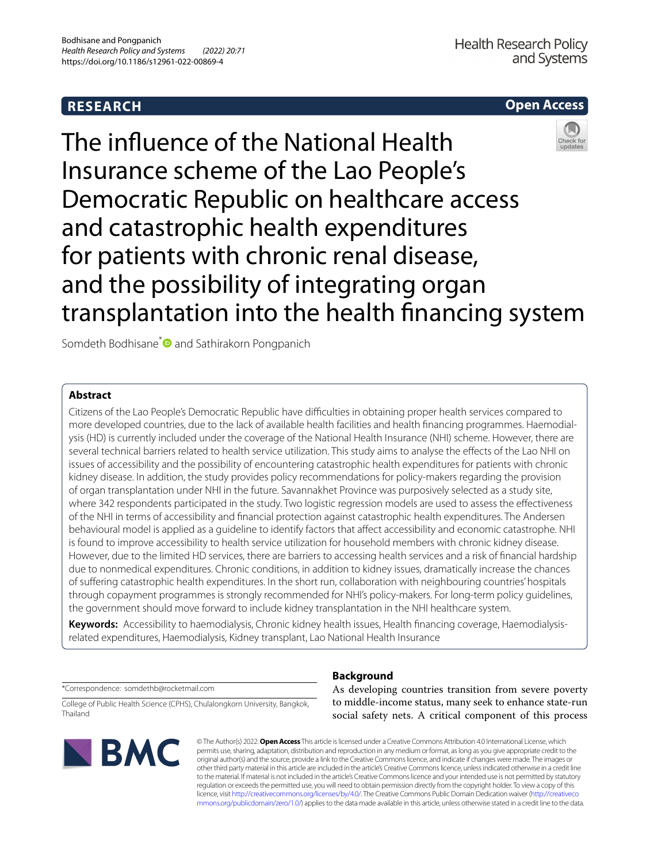# **RESEARCH**

# **Open Access**



The infuence of the National Health Insurance scheme of the Lao People's Democratic Republic on healthcare access and catastrophic health expenditures for patients with chronic renal disease, and the possibility of integrating organ transplantation into the health fnancing system

Somdeth Bodhisane<sup>\*</sup> and Sathirakorn Pongpanich

## **Abstract**

Citizens of the Lao People's Democratic Republic have difficulties in obtaining proper health services compared to more developed countries, due to the lack of available health facilities and health fnancing programmes. Haemodialysis (HD) is currently included under the coverage of the National Health Insurance (NHI) scheme. However, there are several technical barriers related to health service utilization. This study aims to analyse the efects of the Lao NHI on issues of accessibility and the possibility of encountering catastrophic health expenditures for patients with chronic kidney disease. In addition, the study provides policy recommendations for policy-makers regarding the provision of organ transplantation under NHI in the future. Savannakhet Province was purposively selected as a study site, where 342 respondents participated in the study. Two logistic regression models are used to assess the efectiveness of the NHI in terms of accessibility and fnancial protection against catastrophic health expenditures. The Andersen behavioural model is applied as a guideline to identify factors that affect accessibility and economic catastrophe. NHI is found to improve accessibility to health service utilization for household members with chronic kidney disease. However, due to the limited HD services, there are barriers to accessing health services and a risk of fnancial hardship due to nonmedical expenditures. Chronic conditions, in addition to kidney issues, dramatically increase the chances of sufering catastrophic health expenditures. In the short run, collaboration with neighbouring countries' hospitals through copayment programmes is strongly recommended for NHI's policy-makers. For long-term policy guidelines, the government should move forward to include kidney transplantation in the NHI healthcare system.

**Keywords:** Accessibility to haemodialysis, Chronic kidney health issues, Health fnancing coverage, Haemodialysisrelated expenditures, Haemodialysis, Kidney transplant, Lao National Health Insurance

\*Correspondence: somdethb@rocketmail.com

College of Public Health Science (CPHS), Chulalongkorn University, Bangkok, Thailand



**Background** As developing countries transition from severe poverty to middle-income status, many seek to enhance state-run

social safety nets. A critical component of this process

© The Author(s) 2022. **Open Access** This article is licensed under a Creative Commons Attribution 4.0 International License, which permits use, sharing, adaptation, distribution and reproduction in any medium or format, as long as you give appropriate credit to the original author(s) and the source, provide a link to the Creative Commons licence, and indicate if changes were made. The images or other third party material in this article are included in the article's Creative Commons licence, unless indicated otherwise in a credit line to the material. If material is not included in the article's Creative Commons licence and your intended use is not permitted by statutory regulation or exceeds the permitted use, you will need to obtain permission directly from the copyright holder. To view a copy of this licence, visit [http://creativecommons.org/licenses/by/4.0/.](http://creativecommons.org/licenses/by/4.0/) The Creative Commons Public Domain Dedication waiver ([http://creativeco](http://creativecommons.org/publicdomain/zero/1.0/) [mmons.org/publicdomain/zero/1.0/](http://creativecommons.org/publicdomain/zero/1.0/)) applies to the data made available in this article, unless otherwise stated in a credit line to the data.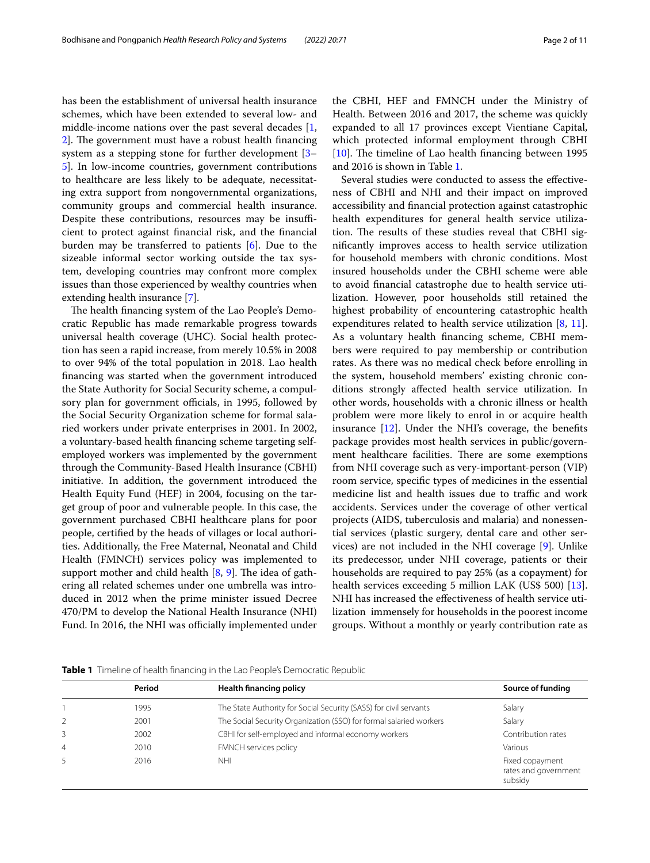has been the establishment of universal health insurance schemes, which have been extended to several low- and middle-income nations over the past several decades [\[1](#page-10-0), [2\]](#page-10-1). The government must have a robust health financing system as a stepping stone for further development [[3–](#page-10-2) [5\]](#page-10-3). In low-income countries, government contributions to healthcare are less likely to be adequate, necessitating extra support from nongovernmental organizations, community groups and commercial health insurance. Despite these contributions, resources may be insufficient to protect against fnancial risk, and the fnancial burden may be transferred to patients [[6\]](#page-10-4). Due to the sizeable informal sector working outside the tax system, developing countries may confront more complex issues than those experienced by wealthy countries when extending health insurance [\[7](#page-10-5)].

The health financing system of the Lao People's Democratic Republic has made remarkable progress towards universal health coverage (UHC). Social health protection has seen a rapid increase, from merely 10.5% in 2008 to over 94% of the total population in 2018. Lao health fnancing was started when the government introduced the State Authority for Social Security scheme, a compulsory plan for government officials, in 1995, followed by the Social Security Organization scheme for formal salaried workers under private enterprises in 2001. In 2002, a voluntary-based health fnancing scheme targeting selfemployed workers was implemented by the government through the Community-Based Health Insurance (CBHI) initiative. In addition, the government introduced the Health Equity Fund (HEF) in 2004, focusing on the target group of poor and vulnerable people. In this case, the government purchased CBHI healthcare plans for poor people, certifed by the heads of villages or local authorities. Additionally, the Free Maternal, Neonatal and Child Health (FMNCH) services policy was implemented to support mother and child health  $[8, 9]$  $[8, 9]$  $[8, 9]$  $[8, 9]$ . The idea of gathering all related schemes under one umbrella was introduced in 2012 when the prime minister issued Decree 470/PM to develop the National Health Insurance (NHI) Fund. In 2016, the NHI was officially implemented under the CBHI, HEF and FMNCH under the Ministry of Health. Between 2016 and 2017, the scheme was quickly expanded to all 17 provinces except Vientiane Capital, which protected informal employment through CBHI  $[10]$  $[10]$ . The timeline of Lao health financing between 1995 and 2016 is shown in Table [1.](#page-1-0)

Several studies were conducted to assess the efectiveness of CBHI and NHI and their impact on improved accessibility and fnancial protection against catastrophic health expenditures for general health service utilization. The results of these studies reveal that CBHI signifcantly improves access to health service utilization for household members with chronic conditions. Most insured households under the CBHI scheme were able to avoid fnancial catastrophe due to health service utilization. However, poor households still retained the highest probability of encountering catastrophic health expenditures related to health service utilization [[8,](#page-10-6) [11](#page-10-9)]. As a voluntary health fnancing scheme, CBHI members were required to pay membership or contribution rates. As there was no medical check before enrolling in the system, household members' existing chronic conditions strongly afected health service utilization. In other words, households with a chronic illness or health problem were more likely to enrol in or acquire health insurance [[12\]](#page-10-10). Under the NHI's coverage, the benefts package provides most health services in public/government healthcare facilities. There are some exemptions from NHI coverage such as very-important-person (VIP) room service, specifc types of medicines in the essential medicine list and health issues due to traffic and work accidents. Services under the coverage of other vertical projects (AIDS, tuberculosis and malaria) and nonessential services (plastic surgery, dental care and other services) are not included in the NHI coverage [[9\]](#page-10-7). Unlike its predecessor, under NHI coverage, patients or their households are required to pay 25% (as a copayment) for health services exceeding 5 million LAK (US\$ 500) [\[13](#page-10-11)]. NHI has increased the efectiveness of health service utilization immensely for households in the poorest income groups. Without a monthly or yearly contribution rate as

<span id="page-1-0"></span>**Table 1** Timeline of health fnancing in the Lao People's Democratic Republic

|                | Period | <b>Health financing policy</b>                                     | Source of funding                                  |
|----------------|--------|--------------------------------------------------------------------|----------------------------------------------------|
|                | 1995   | The State Authority for Social Security (SASS) for civil servants  | Salary                                             |
|                | 2001   | The Social Security Organization (SSO) for formal salaried workers | Salary                                             |
| 3              | 2002   | CBHI for self-employed and informal economy workers                | Contribution rates                                 |
| 4              | 2010   | FMNCH services policy                                              | Various                                            |
| $\overline{5}$ | 2016   | <b>NHI</b>                                                         | Fixed copayment<br>rates and government<br>subsidy |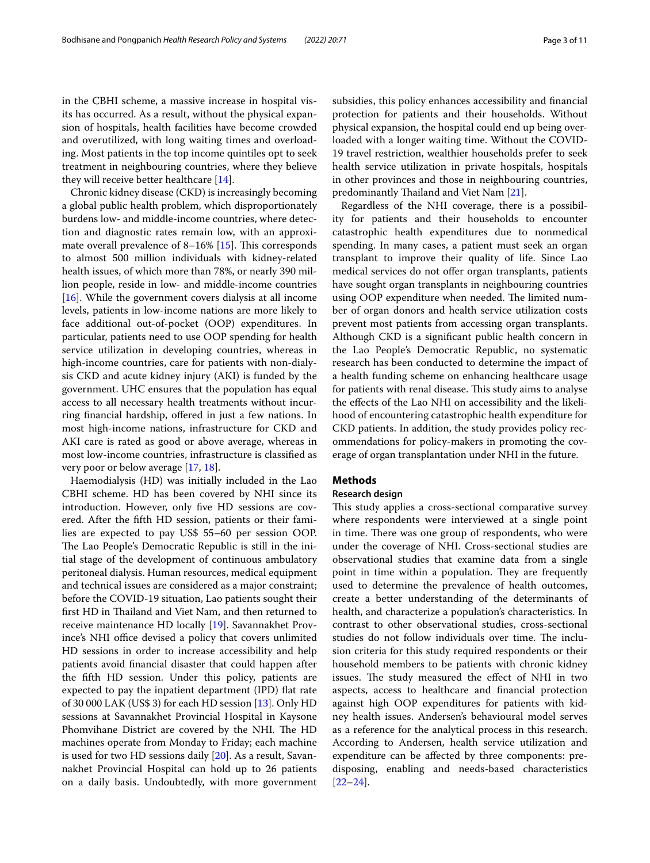in the CBHI scheme, a massive increase in hospital visits has occurred. As a result, without the physical expansion of hospitals, health facilities have become crowded and overutilized, with long waiting times and overloading. Most patients in the top income quintiles opt to seek treatment in neighbouring countries, where they believe they will receive better healthcare [[14\]](#page-10-12).

Chronic kidney disease (CKD) is increasingly becoming a global public health problem, which disproportionately burdens low- and middle-income countries, where detection and diagnostic rates remain low, with an approximate overall prevalence of  $8-16\%$  [[15](#page-10-13)]. This corresponds to almost 500 million individuals with kidney-related health issues, of which more than 78%, or nearly 390 million people, reside in low- and middle-income countries [[16\]](#page-10-14). While the government covers dialysis at all income levels, patients in low-income nations are more likely to face additional out-of-pocket (OOP) expenditures. In particular, patients need to use OOP spending for health service utilization in developing countries, whereas in high-income countries, care for patients with non-dialysis CKD and acute kidney injury (AKI) is funded by the government. UHC ensures that the population has equal access to all necessary health treatments without incurring fnancial hardship, ofered in just a few nations. In most high-income nations, infrastructure for CKD and AKI care is rated as good or above average, whereas in most low-income countries, infrastructure is classifed as very poor or below average [\[17](#page-10-15), [18\]](#page-10-16).

Haemodialysis (HD) was initially included in the Lao CBHI scheme. HD has been covered by NHI since its introduction. However, only fve HD sessions are covered. After the ffth HD session, patients or their families are expected to pay US\$ 55–60 per session OOP. The Lao People's Democratic Republic is still in the initial stage of the development of continuous ambulatory peritoneal dialysis. Human resources, medical equipment and technical issues are considered as a major constraint; before the COVID-19 situation, Lao patients sought their first HD in Thailand and Viet Nam, and then returned to receive maintenance HD locally [[19](#page-10-17)]. Savannakhet Province's NHI office devised a policy that covers unlimited HD sessions in order to increase accessibility and help patients avoid fnancial disaster that could happen after the ffth HD session. Under this policy, patients are expected to pay the inpatient department (IPD) flat rate of 30 000 LAK (US\$ 3) for each HD session [\[13\]](#page-10-11). Only HD sessions at Savannakhet Provincial Hospital in Kaysone Phomvihane District are covered by the NHI. The HD machines operate from Monday to Friday; each machine is used for two HD sessions daily [\[20\]](#page-10-18). As a result, Savannakhet Provincial Hospital can hold up to 26 patients on a daily basis. Undoubtedly, with more government subsidies, this policy enhances accessibility and fnancial protection for patients and their households. Without physical expansion, the hospital could end up being overloaded with a longer waiting time. Without the COVID-19 travel restriction, wealthier households prefer to seek health service utilization in private hospitals, hospitals in other provinces and those in neighbouring countries, predominantly Thailand and Viet Nam [[21\]](#page-10-19).

Regardless of the NHI coverage, there is a possibility for patients and their households to encounter catastrophic health expenditures due to nonmedical spending. In many cases, a patient must seek an organ transplant to improve their quality of life. Since Lao medical services do not offer organ transplants, patients have sought organ transplants in neighbouring countries using OOP expenditure when needed. The limited number of organ donors and health service utilization costs prevent most patients from accessing organ transplants. Although CKD is a signifcant public health concern in the Lao People's Democratic Republic, no systematic research has been conducted to determine the impact of a health funding scheme on enhancing healthcare usage for patients with renal disease. This study aims to analyse the efects of the Lao NHI on accessibility and the likelihood of encountering catastrophic health expenditure for CKD patients. In addition, the study provides policy recommendations for policy-makers in promoting the coverage of organ transplantation under NHI in the future.

## **Methods**

#### **Research design**

This study applies a cross-sectional comparative survey where respondents were interviewed at a single point in time. There was one group of respondents, who were under the coverage of NHI. Cross-sectional studies are observational studies that examine data from a single point in time within a population. They are frequently used to determine the prevalence of health outcomes, create a better understanding of the determinants of health, and characterize a population's characteristics. In contrast to other observational studies, cross-sectional studies do not follow individuals over time. The inclusion criteria for this study required respondents or their household members to be patients with chronic kidney issues. The study measured the effect of NHI in two aspects, access to healthcare and fnancial protection against high OOP expenditures for patients with kidney health issues. Andersen's behavioural model serves as a reference for the analytical process in this research. According to Andersen, health service utilization and expenditure can be afected by three components: predisposing, enabling and needs-based characteristics [[22–](#page-10-20)[24\]](#page-10-21).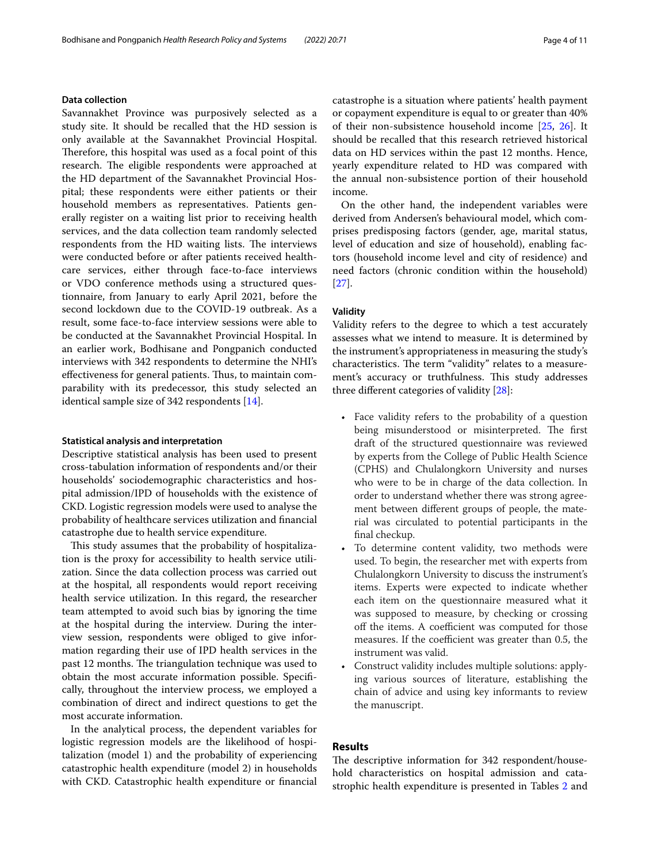## **Data collection**

Savannakhet Province was purposively selected as a study site. It should be recalled that the HD session is only available at the Savannakhet Provincial Hospital. Therefore, this hospital was used as a focal point of this research. The eligible respondents were approached at the HD department of the Savannakhet Provincial Hospital; these respondents were either patients or their household members as representatives. Patients generally register on a waiting list prior to receiving health services, and the data collection team randomly selected respondents from the HD waiting lists. The interviews were conducted before or after patients received healthcare services, either through face-to-face interviews or VDO conference methods using a structured questionnaire, from January to early April 2021, before the second lockdown due to the COVID-19 outbreak. As a result, some face-to-face interview sessions were able to be conducted at the Savannakhet Provincial Hospital. In an earlier work, Bodhisane and Pongpanich conducted interviews with 342 respondents to determine the NHI's effectiveness for general patients. Thus, to maintain comparability with its predecessor, this study selected an identical sample size of 342 respondents [\[14\]](#page-10-12).

#### **Statistical analysis and interpretation**

Descriptive statistical analysis has been used to present cross-tabulation information of respondents and/or their households' sociodemographic characteristics and hospital admission/IPD of households with the existence of CKD. Logistic regression models were used to analyse the probability of healthcare services utilization and fnancial catastrophe due to health service expenditure.

This study assumes that the probability of hospitalization is the proxy for accessibility to health service utilization. Since the data collection process was carried out at the hospital, all respondents would report receiving health service utilization. In this regard, the researcher team attempted to avoid such bias by ignoring the time at the hospital during the interview. During the interview session, respondents were obliged to give information regarding their use of IPD health services in the past 12 months. The triangulation technique was used to obtain the most accurate information possible. Specifcally, throughout the interview process, we employed a combination of direct and indirect questions to get the most accurate information.

In the analytical process, the dependent variables for logistic regression models are the likelihood of hospitalization (model 1) and the probability of experiencing catastrophic health expenditure (model 2) in households with CKD. Catastrophic health expenditure or fnancial catastrophe is a situation where patients' health payment or copayment expenditure is equal to or greater than 40% of their non-subsistence household income [\[25](#page-10-22), [26](#page-10-23)]. It should be recalled that this research retrieved historical data on HD services within the past 12 months. Hence, yearly expenditure related to HD was compared with the annual non-subsistence portion of their household income.

On the other hand, the independent variables were derived from Andersen's behavioural model, which comprises predisposing factors (gender, age, marital status, level of education and size of household), enabling factors (household income level and city of residence) and need factors (chronic condition within the household) [[27\]](#page-10-24).

## **Validity**

Validity refers to the degree to which a test accurately assesses what we intend to measure. It is determined by the instrument's appropriateness in measuring the study's characteristics. The term "validity" relates to a measurement's accuracy or truthfulness. This study addresses three diferent categories of validity [[28\]](#page-10-25):

- Face validity refers to the probability of a question being misunderstood or misinterpreted. The first draft of the structured questionnaire was reviewed by experts from the College of Public Health Science (CPHS) and Chulalongkorn University and nurses who were to be in charge of the data collection. In order to understand whether there was strong agreement between diferent groups of people, the material was circulated to potential participants in the fnal checkup.
- To determine content validity, two methods were used. To begin, the researcher met with experts from Chulalongkorn University to discuss the instrument's items. Experts were expected to indicate whether each item on the questionnaire measured what it was supposed to measure, by checking or crossing off the items. A coefficient was computed for those measures. If the coefficient was greater than 0.5, the instrument was valid.
- Construct validity includes multiple solutions: applying various sources of literature, establishing the chain of advice and using key informants to review the manuscript.

## **Results**

The descriptive information for 342 respondent/household characteristics on hospital admission and catastrophic health expenditure is presented in Tables [2](#page-4-0) and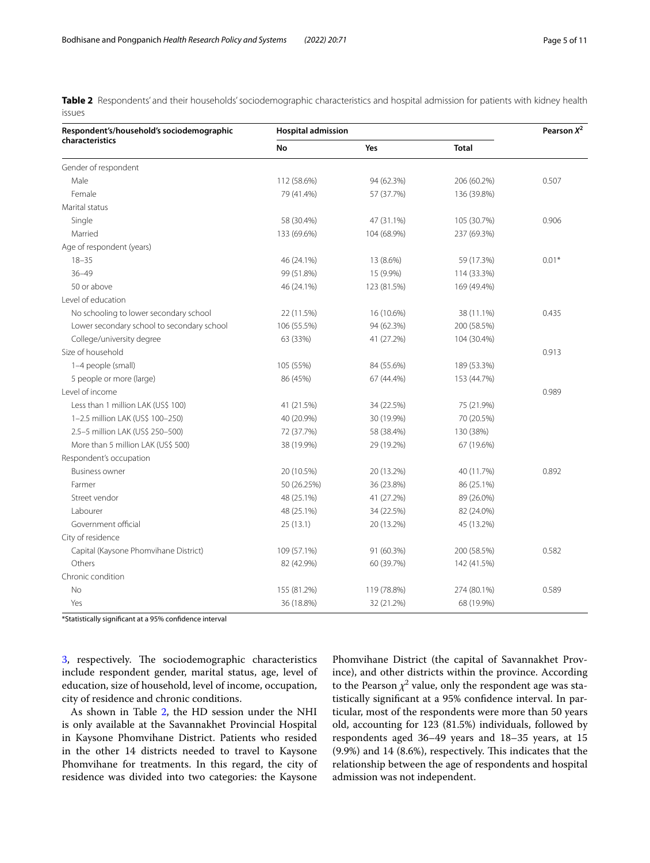<span id="page-4-0"></span>**Table 2** Respondents' and their households' sociodemographic characteristics and hospital admission for patients with kidney health issues

| Respondent's/household's sociodemographic  | <b>Hospital admission</b> | Pearson $X^2$ |              |         |  |
|--------------------------------------------|---------------------------|---------------|--------------|---------|--|
| characteristics                            | No                        | Yes           | <b>Total</b> |         |  |
| Gender of respondent                       |                           |               |              |         |  |
| Male                                       | 112 (58.6%)               | 94 (62.3%)    | 206 (60.2%)  | 0.507   |  |
| Female                                     | 79 (41.4%)                | 57 (37.7%)    | 136 (39.8%)  |         |  |
| Marital status                             |                           |               |              |         |  |
| Single                                     | 58 (30.4%)                | 47 (31.1%)    | 105 (30.7%)  | 0.906   |  |
| Married                                    | 133 (69.6%)               | 104 (68.9%)   | 237 (69.3%)  |         |  |
| Age of respondent (years)                  |                           |               |              |         |  |
| $18 - 35$                                  | 46 (24.1%)                | 13 (8.6%)     | 59 (17.3%)   | $0.01*$ |  |
| $36 - 49$                                  | 99 (51.8%)                | 15 (9.9%)     | 114 (33.3%)  |         |  |
| 50 or above                                | 46 (24.1%)                | 123 (81.5%)   | 169 (49.4%)  |         |  |
| Level of education                         |                           |               |              |         |  |
| No schooling to lower secondary school     | 22 (11.5%)                | 16 (10.6%)    | 38 (11.1%)   | 0.435   |  |
| Lower secondary school to secondary school | 106 (55.5%)               | 94 (62.3%)    | 200 (58.5%)  |         |  |
| College/university degree                  | 63 (33%)                  | 41 (27.2%)    | 104 (30.4%)  |         |  |
| Size of household                          |                           |               |              | 0.913   |  |
| 1-4 people (small)                         | 105 (55%)                 | 84 (55.6%)    | 189 (53.3%)  |         |  |
| 5 people or more (large)                   | 86 (45%)                  | 67 (44.4%)    | 153 (44.7%)  |         |  |
| Level of income                            |                           |               |              | 0.989   |  |
| Less than 1 million LAK (US\$ 100)         | 41 (21.5%)                | 34 (22.5%)    | 75 (21.9%)   |         |  |
| 1-2.5 million LAK (US\$ 100-250)           | 40 (20.9%)                | 30 (19.9%)    | 70 (20.5%)   |         |  |
| 2.5-5 million LAK (US\$ 250-500)           | 72 (37.7%)                | 58 (38.4%)    | 130 (38%)    |         |  |
| More than 5 million LAK (US\$ 500)         | 38 (19.9%)                | 29 (19.2%)    | 67 (19.6%)   |         |  |
| Respondent's occupation                    |                           |               |              |         |  |
| <b>Business owner</b>                      | 20 (10.5%)                | 20 (13.2%)    | 40 (11.7%)   | 0.892   |  |
| Farmer                                     | 50 (26.25%)               | 36 (23.8%)    | 86 (25.1%)   |         |  |
| Street vendor                              | 48 (25.1%)                | 41 (27.2%)    | 89 (26.0%)   |         |  |
| Labourer                                   | 48 (25.1%)                | 34 (22.5%)    | 82 (24.0%)   |         |  |
| Government official                        | 25 (13.1)                 | 20 (13.2%)    | 45 (13.2%)   |         |  |
| City of residence                          |                           |               |              |         |  |
| Capital (Kaysone Phomvihane District)      | 109 (57.1%)               | 91 (60.3%)    | 200 (58.5%)  | 0.582   |  |
| Others                                     | 82 (42.9%)                | 60 (39.7%)    | 142 (41.5%)  |         |  |
| Chronic condition                          |                           |               |              |         |  |
| No                                         | 155 (81.2%)               | 119 (78.8%)   | 274 (80.1%)  | 0.589   |  |
| Yes                                        | 36 (18.8%)                | 32 (21.2%)    | 68 (19.9%)   |         |  |

\*Statistically signifcant at a 95% confdence interval

[3,](#page-5-0) respectively. The sociodemographic characteristics include respondent gender, marital status, age, level of education, size of household, level of income, occupation, city of residence and chronic conditions.

As shown in Table [2,](#page-4-0) the HD session under the NHI is only available at the Savannakhet Provincial Hospital in Kaysone Phomvihane District. Patients who resided in the other 14 districts needed to travel to Kaysone Phomvihane for treatments. In this regard, the city of residence was divided into two categories: the Kaysone

Phomvihane District (the capital of Savannakhet Province), and other districts within the province. According to the Pearson  $\chi^2$  value, only the respondent age was statistically signifcant at a 95% confdence interval. In particular, most of the respondents were more than 50 years old, accounting for 123 (81.5%) individuals, followed by respondents aged 36–49 years and 18–35 years, at 15  $(9.9\%)$  and 14  $(8.6\%)$ , respectively. This indicates that the relationship between the age of respondents and hospital admission was not independent.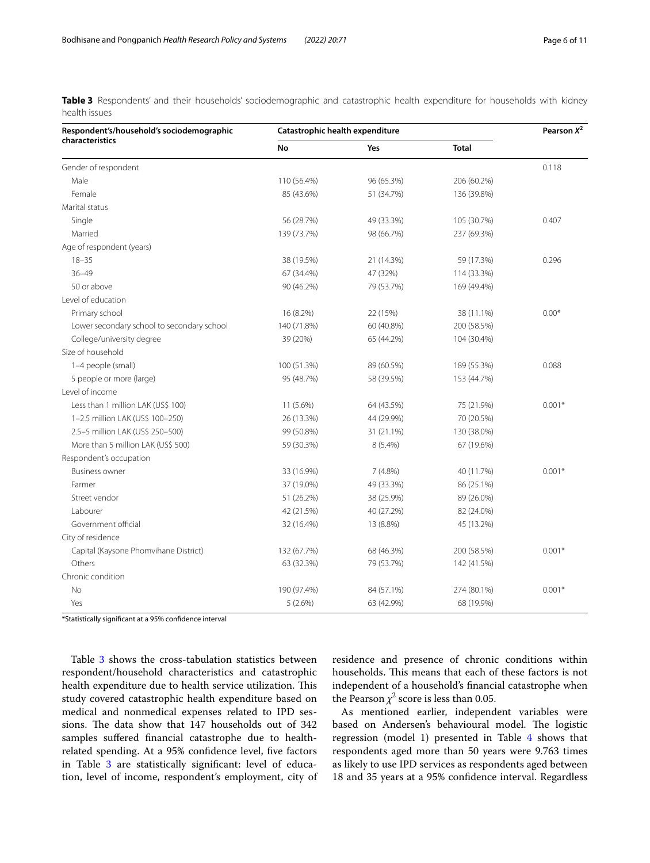<span id="page-5-0"></span>**Table 3** Respondents' and their households' sociodemographic and catastrophic health expenditure for households with kidney health issues

| Respondent's/household's sociodemographic  | Catastrophic health expenditure | Pearson $X^2$ |              |          |
|--------------------------------------------|---------------------------------|---------------|--------------|----------|
| characteristics                            | <b>No</b>                       | Yes           | <b>Total</b> |          |
| Gender of respondent                       |                                 |               |              | 0.118    |
| Male                                       | 110 (56.4%)                     | 96 (65.3%)    | 206 (60.2%)  |          |
| Female                                     | 85 (43.6%)                      | 51 (34.7%)    | 136 (39.8%)  |          |
| Marital status                             |                                 |               |              |          |
| Single                                     | 56 (28.7%)                      | 49 (33.3%)    | 105 (30.7%)  | 0.407    |
| Married                                    | 139 (73.7%)                     | 98 (66.7%)    | 237 (69.3%)  |          |
| Age of respondent (years)                  |                                 |               |              |          |
| $18 - 35$                                  | 38 (19.5%)                      | 21 (14.3%)    | 59 (17.3%)   | 0.296    |
| $36 - 49$                                  | 67 (34.4%)                      | 47 (32%)      | 114 (33.3%)  |          |
| 50 or above                                | 90 (46.2%)                      | 79 (53.7%)    | 169 (49.4%)  |          |
| Level of education                         |                                 |               |              |          |
| Primary school                             | 16 (8.2%)                       | 22 (15%)      | 38 (11.1%)   | $0.00*$  |
| Lower secondary school to secondary school | 140 (71.8%)                     | 60 (40.8%)    | 200 (58.5%)  |          |
| College/university degree                  | 39 (20%)                        | 65 (44.2%)    | 104 (30.4%)  |          |
| Size of household                          |                                 |               |              |          |
| 1-4 people (small)                         | 100 (51.3%)                     | 89 (60.5%)    | 189 (55.3%)  | 0.088    |
| 5 people or more (large)                   | 95 (48.7%)                      | 58 (39.5%)    | 153 (44.7%)  |          |
| Level of income                            |                                 |               |              |          |
| Less than 1 million LAK (US\$ 100)         | 11 (5.6%)                       | 64 (43.5%)    | 75 (21.9%)   | $0.001*$ |
| 1-2.5 million LAK (US\$ 100-250)           | 26 (13.3%)                      | 44 (29.9%)    | 70 (20.5%)   |          |
| 2.5-5 million LAK (US\$ 250-500)           | 99 (50.8%)                      | 31 (21.1%)    | 130 (38.0%)  |          |
| More than 5 million LAK (US\$ 500)         | 59 (30.3%)                      | 8 (5.4%)      | 67 (19.6%)   |          |
| Respondent's occupation                    |                                 |               |              |          |
| <b>Business owner</b>                      | 33 (16.9%)                      | 7(4.8%)       | 40 (11.7%)   | $0.001*$ |
| Farmer                                     | 37 (19.0%)                      | 49 (33.3%)    | 86 (25.1%)   |          |
| Street vendor                              | 51 (26.2%)                      | 38 (25.9%)    | 89 (26.0%)   |          |
| Labourer                                   | 42 (21.5%)                      | 40 (27.2%)    | 82 (24.0%)   |          |
| Government official                        | 32 (16.4%)                      | 13 (8.8%)     | 45 (13.2%)   |          |
| City of residence                          |                                 |               |              |          |
| Capital (Kaysone Phomvihane District)      | 132 (67.7%)                     | 68 (46.3%)    | 200 (58.5%)  | $0.001*$ |
| Others                                     | 63 (32.3%)                      | 79 (53.7%)    | 142 (41.5%)  |          |
| Chronic condition                          |                                 |               |              |          |
| No                                         | 190 (97.4%)                     | 84 (57.1%)    | 274 (80.1%)  | $0.001*$ |
| Yes                                        | 5(2.6%)                         | 63 (42.9%)    | 68 (19.9%)   |          |

\*Statistically signifcant at a 95% confdence interval

Table [3](#page-5-0) shows the cross-tabulation statistics between respondent/household characteristics and catastrophic health expenditure due to health service utilization. This study covered catastrophic health expenditure based on medical and nonmedical expenses related to IPD sessions. The data show that 147 households out of 342 samples sufered fnancial catastrophe due to healthrelated spending. At a 95% confdence level, fve factors in Table [3](#page-5-0) are statistically significant: level of education, level of income, respondent's employment, city of residence and presence of chronic conditions within households. This means that each of these factors is not independent of a household's fnancial catastrophe when the Pearson  $\chi^2$  score is less than 0.05.

As mentioned earlier, independent variables were based on Andersen's behavioural model. The logistic regression (model 1) presented in Table [4](#page-6-0) shows that respondents aged more than 50 years were 9.763 times as likely to use IPD services as respondents aged between 18 and 35 years at a 95% confdence interval. Regardless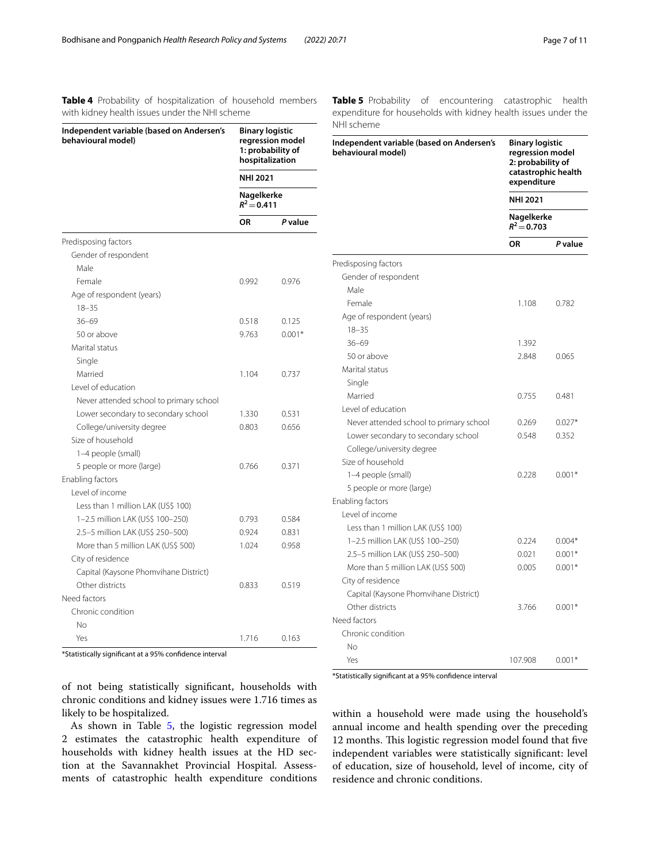<span id="page-6-0"></span>**Table 4** Probability of hospitalization of household members with kidney health issues under the NHI scheme

<span id="page-6-1"></span>

| <b>Table 5</b> Probability of encountering catastrophic health |  |  |
|----------------------------------------------------------------|--|--|
| expenditure for households with kidney health issues under the |  |  |
| NHI scheme                                                     |  |  |

| Independent variable (based on Andersen's               | <b>Binary logistic</b>                                                                                     |          | NHI scheme                                                      |                                                                                                                          |          |  |
|---------------------------------------------------------|------------------------------------------------------------------------------------------------------------|----------|-----------------------------------------------------------------|--------------------------------------------------------------------------------------------------------------------------|----------|--|
| behavioural model)                                      | regression model<br>1: probability of<br>hospitalization<br><b>NHI 2021</b><br>Nagelkerke<br>$R^2 = 0.411$ |          | Independent variable (based on Andersen's<br>behavioural model) | <b>Binary logistic</b><br>regression model<br>2: probability of<br>catastrophic health<br>expenditure<br><b>NHI 2021</b> |          |  |
|                                                         |                                                                                                            |          |                                                                 |                                                                                                                          |          |  |
|                                                         |                                                                                                            |          |                                                                 |                                                                                                                          |          |  |
|                                                         | <b>OR</b>                                                                                                  | P value  |                                                                 | Nagelkerke<br>$R^2 = 0.703$                                                                                              |          |  |
| Predisposing factors                                    |                                                                                                            |          |                                                                 | <b>OR</b>                                                                                                                | P value  |  |
| Gender of respondent                                    |                                                                                                            |          |                                                                 |                                                                                                                          |          |  |
| Male                                                    |                                                                                                            |          | Predisposing factors                                            |                                                                                                                          |          |  |
| Female                                                  | 0.992                                                                                                      | 0.976    | Gender of respondent                                            |                                                                                                                          |          |  |
| Age of respondent (years)                               |                                                                                                            |          | Male                                                            |                                                                                                                          |          |  |
| $18 - 35$                                               |                                                                                                            |          | Female                                                          | 1.108                                                                                                                    | 0.782    |  |
| $36 - 69$                                               | 0.518                                                                                                      | 0.125    | Age of respondent (years)                                       |                                                                                                                          |          |  |
| 50 or above                                             | 9.763                                                                                                      | $0.001*$ | $18 - 35$                                                       |                                                                                                                          |          |  |
| Marital status                                          |                                                                                                            |          | $36 - 69$                                                       | 1.392                                                                                                                    |          |  |
| Single                                                  |                                                                                                            |          | 50 or above                                                     | 2.848                                                                                                                    | 0.065    |  |
| Married                                                 | 1.104                                                                                                      | 0.737    | Marital status                                                  |                                                                                                                          |          |  |
| Level of education                                      |                                                                                                            |          | Single                                                          |                                                                                                                          |          |  |
| Never attended school to primary school                 |                                                                                                            |          | Married                                                         | 0.755                                                                                                                    | 0.481    |  |
| Lower secondary to secondary school                     | 1.330                                                                                                      | 0.531    | Level of education                                              |                                                                                                                          |          |  |
| College/university degree                               | 0.803                                                                                                      | 0.656    | Never attended school to primary school                         | 0.269                                                                                                                    | $0.027*$ |  |
| Size of household                                       |                                                                                                            |          | Lower secondary to secondary school                             | 0.548                                                                                                                    | 0.352    |  |
| 1-4 people (small)                                      |                                                                                                            |          | College/university degree                                       |                                                                                                                          |          |  |
| 5 people or more (large)                                | 0.766                                                                                                      | 0.371    | Size of household                                               |                                                                                                                          |          |  |
| Enabling factors                                        |                                                                                                            |          | 1-4 people (small)                                              | 0.228                                                                                                                    | $0.001*$ |  |
| Level of income                                         |                                                                                                            |          | 5 people or more (large)                                        |                                                                                                                          |          |  |
| Less than 1 million LAK (US\$ 100)                      |                                                                                                            |          | Enabling factors                                                |                                                                                                                          |          |  |
| 1-2.5 million LAK (US\$ 100-250)                        | 0.793                                                                                                      | 0.584    | Level of income                                                 |                                                                                                                          |          |  |
| 2.5-5 million LAK (US\$ 250-500)                        | 0.924                                                                                                      | 0.831    | Less than 1 million LAK (US\$ 100)                              |                                                                                                                          |          |  |
| More than 5 million LAK (US\$ 500)                      | 1.024                                                                                                      | 0.958    | 1-2.5 million LAK (US\$ 100-250)                                | 0.224                                                                                                                    | $0.004*$ |  |
| City of residence                                       |                                                                                                            |          | 2.5-5 million LAK (US\$ 250-500)                                | 0.021                                                                                                                    | $0.001*$ |  |
| Capital (Kaysone Phomvihane District)                   |                                                                                                            |          | More than 5 million LAK (US\$ 500)                              | 0.005                                                                                                                    | $0.001*$ |  |
| Other districts                                         | 0.833                                                                                                      | 0.519    | City of residence                                               |                                                                                                                          |          |  |
| Need factors                                            |                                                                                                            |          | Capital (Kaysone Phomvihane District)                           |                                                                                                                          |          |  |
| Chronic condition                                       |                                                                                                            |          | Other districts                                                 | 3.766                                                                                                                    | $0.001*$ |  |
| No                                                      |                                                                                                            |          | Need factors                                                    |                                                                                                                          |          |  |
| Yes                                                     | 1.716                                                                                                      | 0.163    | Chronic condition                                               |                                                                                                                          |          |  |
|                                                         |                                                                                                            |          | <b>No</b>                                                       |                                                                                                                          |          |  |
| *Statistically significant at a 95% confidence interval |                                                                                                            |          | Yes                                                             | 107.908                                                                                                                  | $0.001*$ |  |

of not being statistically signifcant, households with chronic conditions and kidney issues were 1.716 times as likely to be hospitalized.

As shown in Table [5,](#page-6-1) the logistic regression model 2 estimates the catastrophic health expenditure of households with kidney health issues at the HD section at the Savannakhet Provincial Hospital. Assessments of catastrophic health expenditure conditions

\*Statistically signifcant at a 95% confdence interval

within a household were made using the household's annual income and health spending over the preceding 12 months. This logistic regression model found that five independent variables were statistically signifcant: level of education, size of household, level of income, city of residence and chronic conditions.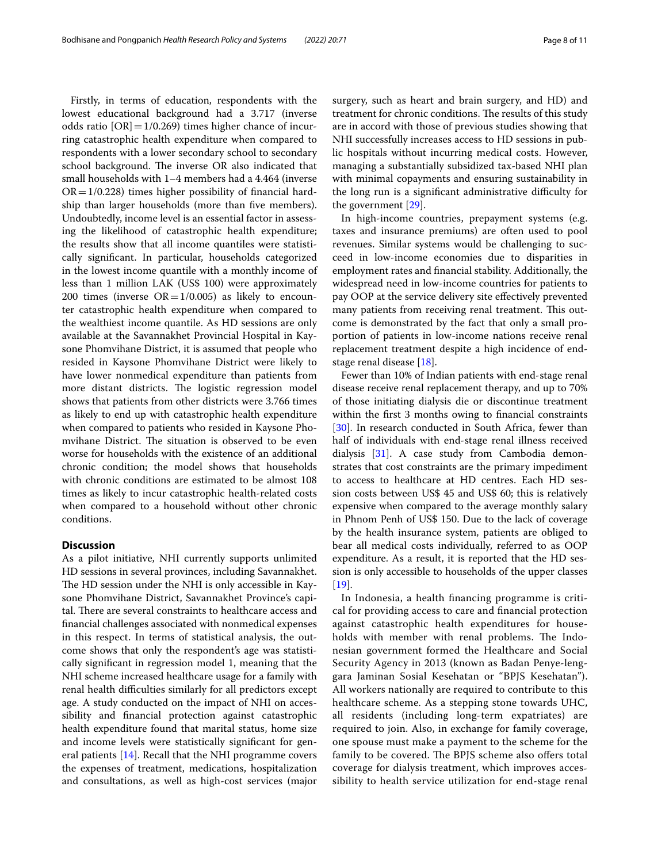Firstly, in terms of education, respondents with the lowest educational background had a 3.717 (inverse odds ratio  $[OR] = 1/0.269$ ) times higher chance of incurring catastrophic health expenditure when compared to respondents with a lower secondary school to secondary school background. The inverse OR also indicated that small households with 1–4 members had a 4.464 (inverse  $OR = 1/0.228$ ) times higher possibility of financial hardship than larger households (more than fve members). Undoubtedly, income level is an essential factor in assessing the likelihood of catastrophic health expenditure; the results show that all income quantiles were statistically signifcant. In particular, households categorized in the lowest income quantile with a monthly income of less than 1 million LAK (US\$ 100) were approximately 200 times (inverse  $OR = 1/0.005$ ) as likely to encounter catastrophic health expenditure when compared to the wealthiest income quantile. As HD sessions are only available at the Savannakhet Provincial Hospital in Kaysone Phomvihane District, it is assumed that people who resided in Kaysone Phomvihane District were likely to have lower nonmedical expenditure than patients from more distant districts. The logistic regression model shows that patients from other districts were 3.766 times as likely to end up with catastrophic health expenditure when compared to patients who resided in Kaysone Phomvihane District. The situation is observed to be even worse for households with the existence of an additional chronic condition; the model shows that households with chronic conditions are estimated to be almost 108 times as likely to incur catastrophic health-related costs when compared to a household without other chronic conditions.

## **Discussion**

As a pilot initiative, NHI currently supports unlimited HD sessions in several provinces, including Savannakhet. The HD session under the NHI is only accessible in Kaysone Phomvihane District, Savannakhet Province's capital. There are several constraints to healthcare access and fnancial challenges associated with nonmedical expenses in this respect. In terms of statistical analysis, the outcome shows that only the respondent's age was statistically signifcant in regression model 1, meaning that the NHI scheme increased healthcare usage for a family with renal health difficulties similarly for all predictors except age. A study conducted on the impact of NHI on accessibility and fnancial protection against catastrophic health expenditure found that marital status, home size and income levels were statistically signifcant for general patients [[14\]](#page-10-12). Recall that the NHI programme covers the expenses of treatment, medications, hospitalization and consultations, as well as high-cost services (major surgery, such as heart and brain surgery, and HD) and treatment for chronic conditions. The results of this study are in accord with those of previous studies showing that NHI successfully increases access to HD sessions in public hospitals without incurring medical costs. However, managing a substantially subsidized tax-based NHI plan with minimal copayments and ensuring sustainability in the long run is a significant administrative difficulty for the government [\[29\]](#page-10-26).

In high-income countries, prepayment systems (e.g. taxes and insurance premiums) are often used to pool revenues. Similar systems would be challenging to succeed in low-income economies due to disparities in employment rates and fnancial stability. Additionally, the widespread need in low-income countries for patients to pay OOP at the service delivery site efectively prevented many patients from receiving renal treatment. This outcome is demonstrated by the fact that only a small proportion of patients in low-income nations receive renal replacement treatment despite a high incidence of endstage renal disease [\[18](#page-10-16)].

Fewer than 10% of Indian patients with end-stage renal disease receive renal replacement therapy, and up to 70% of those initiating dialysis die or discontinue treatment within the first 3 months owing to financial constraints [[30\]](#page-10-27). In research conducted in South Africa, fewer than half of individuals with end-stage renal illness received dialysis [\[31\]](#page-10-28). A case study from Cambodia demonstrates that cost constraints are the primary impediment to access to healthcare at HD centres. Each HD session costs between US\$ 45 and US\$ 60; this is relatively expensive when compared to the average monthly salary in Phnom Penh of US\$ 150. Due to the lack of coverage by the health insurance system, patients are obliged to bear all medical costs individually, referred to as OOP expenditure. As a result, it is reported that the HD session is only accessible to households of the upper classes  $[19]$  $[19]$ .

In Indonesia, a health fnancing programme is critical for providing access to care and fnancial protection against catastrophic health expenditures for households with member with renal problems. The Indonesian government formed the Healthcare and Social Security Agency in 2013 (known as Badan Penye-lenggara Jaminan Sosial Kesehatan or "BPJS Kesehatan"). All workers nationally are required to contribute to this healthcare scheme. As a stepping stone towards UHC, all residents (including long-term expatriates) are required to join. Also, in exchange for family coverage, one spouse must make a payment to the scheme for the family to be covered. The BPJS scheme also offers total coverage for dialysis treatment, which improves accessibility to health service utilization for end-stage renal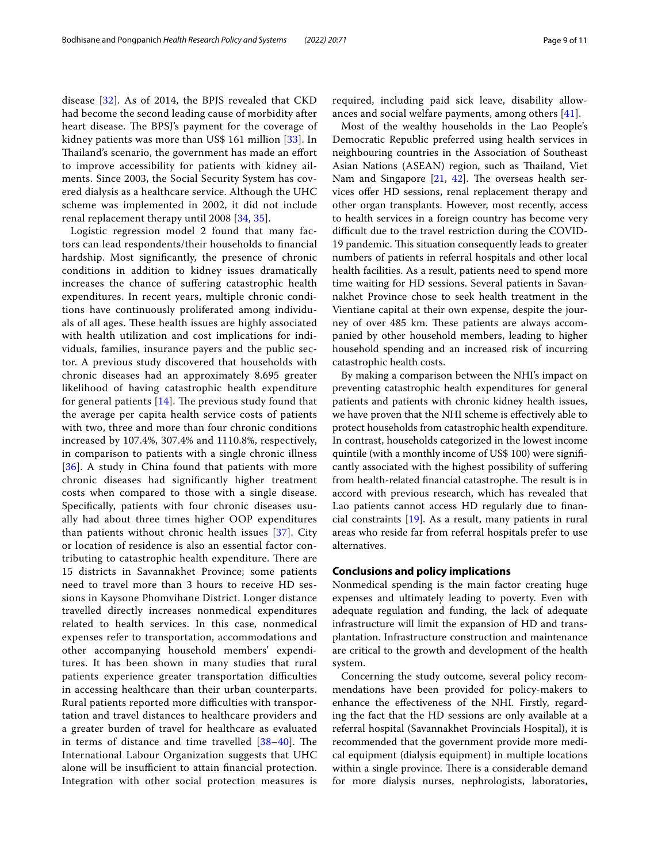disease [\[32](#page-10-29)]. As of 2014, the BPJS revealed that CKD had become the second leading cause of morbidity after heart disease. The BPSJ's payment for the coverage of kidney patients was more than US\$ 161 million [\[33](#page-10-30)]. In Thailand's scenario, the government has made an effort to improve accessibility for patients with kidney ailments. Since 2003, the Social Security System has covered dialysis as a healthcare service. Although the UHC scheme was implemented in 2002, it did not include renal replacement therapy until 2008 [[34,](#page-10-31) [35\]](#page-10-32).

Logistic regression model 2 found that many factors can lead respondents/their households to fnancial hardship. Most signifcantly, the presence of chronic conditions in addition to kidney issues dramatically increases the chance of sufering catastrophic health expenditures. In recent years, multiple chronic conditions have continuously proliferated among individuals of all ages. These health issues are highly associated with health utilization and cost implications for individuals, families, insurance payers and the public sector. A previous study discovered that households with chronic diseases had an approximately 8.695 greater likelihood of having catastrophic health expenditure for general patients  $[14]$  $[14]$  $[14]$ . The previous study found that the average per capita health service costs of patients with two, three and more than four chronic conditions increased by 107.4%, 307.4% and 1110.8%, respectively, in comparison to patients with a single chronic illness [[36](#page-10-33)]. A study in China found that patients with more chronic diseases had signifcantly higher treatment costs when compared to those with a single disease. Specifcally, patients with four chronic diseases usually had about three times higher OOP expenditures than patients without chronic health issues [\[37](#page-10-34)]. City or location of residence is also an essential factor contributing to catastrophic health expenditure. There are 15 districts in Savannakhet Province; some patients need to travel more than 3 hours to receive HD sessions in Kaysone Phomvihane District. Longer distance travelled directly increases nonmedical expenditures related to health services. In this case, nonmedical expenses refer to transportation, accommodations and other accompanying household members' expenditures. It has been shown in many studies that rural patients experience greater transportation difficulties in accessing healthcare than their urban counterparts. Rural patients reported more difficulties with transportation and travel distances to healthcare providers and a greater burden of travel for healthcare as evaluated in terms of distance and time travelled  $[38-40]$  $[38-40]$ . The International Labour Organization suggests that UHC alone will be insufficient to attain financial protection. Integration with other social protection measures is required, including paid sick leave, disability allowances and social welfare payments, among others [[41](#page-10-37)].

Most of the wealthy households in the Lao People's Democratic Republic preferred using health services in neighbouring countries in the Association of Southeast Asian Nations (ASEAN) region, such as Thailand, Viet Nam and Singapore  $[21, 42]$  $[21, 42]$  $[21, 42]$  $[21, 42]$  $[21, 42]$ . The overseas health services offer HD sessions, renal replacement therapy and other organ transplants. However, most recently, access to health services in a foreign country has become very difficult due to the travel restriction during the COVID-19 pandemic. This situation consequently leads to greater numbers of patients in referral hospitals and other local health facilities. As a result, patients need to spend more time waiting for HD sessions. Several patients in Savannakhet Province chose to seek health treatment in the Vientiane capital at their own expense, despite the journey of over 485 km. These patients are always accompanied by other household members, leading to higher household spending and an increased risk of incurring catastrophic health costs.

By making a comparison between the NHI's impact on preventing catastrophic health expenditures for general patients and patients with chronic kidney health issues, we have proven that the NHI scheme is efectively able to protect households from catastrophic health expenditure. In contrast, households categorized in the lowest income quintile (with a monthly income of US\$ 100) were signifcantly associated with the highest possibility of sufering from health-related financial catastrophe. The result is in accord with previous research, which has revealed that Lao patients cannot access HD regularly due to fnancial constraints [[19](#page-10-17)]. As a result, many patients in rural areas who reside far from referral hospitals prefer to use alternatives.

### **Conclusions and policy implications**

Nonmedical spending is the main factor creating huge expenses and ultimately leading to poverty. Even with adequate regulation and funding, the lack of adequate infrastructure will limit the expansion of HD and transplantation. Infrastructure construction and maintenance are critical to the growth and development of the health system.

Concerning the study outcome, several policy recommendations have been provided for policy-makers to enhance the efectiveness of the NHI. Firstly, regarding the fact that the HD sessions are only available at a referral hospital (Savannakhet Provincials Hospital), it is recommended that the government provide more medical equipment (dialysis equipment) in multiple locations within a single province. There is a considerable demand for more dialysis nurses, nephrologists, laboratories,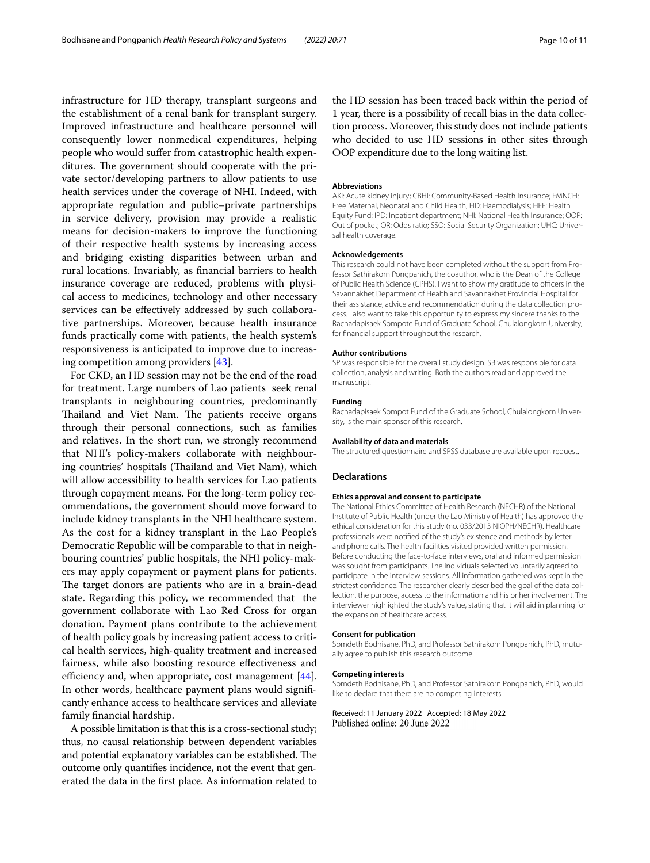infrastructure for HD therapy, transplant surgeons and the establishment of a renal bank for transplant surgery. Improved infrastructure and healthcare personnel will consequently lower nonmedical expenditures, helping people who would sufer from catastrophic health expenditures. The government should cooperate with the private sector/developing partners to allow patients to use health services under the coverage of NHI. Indeed, with appropriate regulation and public–private partnerships in service delivery, provision may provide a realistic means for decision-makers to improve the functioning of their respective health systems by increasing access and bridging existing disparities between urban and rural locations. Invariably, as fnancial barriers to health insurance coverage are reduced, problems with physical access to medicines, technology and other necessary services can be efectively addressed by such collaborative partnerships. Moreover, because health insurance funds practically come with patients, the health system's responsiveness is anticipated to improve due to increasing competition among providers [\[43](#page-10-39)].

For CKD, an HD session may not be the end of the road for treatment. Large numbers of Lao patients seek renal transplants in neighbouring countries, predominantly Thailand and Viet Nam. The patients receive organs through their personal connections, such as families and relatives. In the short run, we strongly recommend that NHI's policy-makers collaborate with neighbouring countries' hospitals (Thailand and Viet Nam), which will allow accessibility to health services for Lao patients through copayment means. For the long-term policy recommendations, the government should move forward to include kidney transplants in the NHI healthcare system. As the cost for a kidney transplant in the Lao People's Democratic Republic will be comparable to that in neighbouring countries' public hospitals, the NHI policy-makers may apply copayment or payment plans for patients. The target donors are patients who are in a brain-dead state. Regarding this policy, we recommended that the government collaborate with Lao Red Cross for organ donation. Payment plans contribute to the achievement of health policy goals by increasing patient access to critical health services, high-quality treatment and increased fairness, while also boosting resource efectiveness and efficiency and, when appropriate, cost management  $[44]$  $[44]$ . In other words, healthcare payment plans would signifcantly enhance access to healthcare services and alleviate family fnancial hardship.

A possible limitation is that this is a cross-sectional study; thus, no causal relationship between dependent variables and potential explanatory variables can be established. The outcome only quantifes incidence, not the event that generated the data in the frst place. As information related to the HD session has been traced back within the period of 1 year, there is a possibility of recall bias in the data collection process. Moreover, this study does not include patients who decided to use HD sessions in other sites through OOP expenditure due to the long waiting list.

#### **Abbreviations**

AKI: Acute kidney injury; CBHI: Community-Based Health Insurance; FMNCH: Free Maternal, Neonatal and Child Health; HD: Haemodialysis; HEF: Health Equity Fund; IPD: Inpatient department; NHI: National Health Insurance; OOP: Out of pocket; OR: Odds ratio; SSO: Social Security Organization; UHC: Universal health coverage

#### **Acknowledgements**

This research could not have been completed without the support from Professor Sathirakorn Pongpanich, the coauthor, who is the Dean of the College of Public Health Science (CPHS). I want to show my gratitude to officers in the Savannakhet Department of Health and Savannakhet Provincial Hospital for their assistance, advice and recommendation during the data collection process. I also want to take this opportunity to express my sincere thanks to the Rachadapisaek Sompote Fund of Graduate School, Chulalongkorn University, for fnancial support throughout the research.

#### **Author contributions**

SP was responsible for the overall study design. SB was responsible for data collection, analysis and writing. Both the authors read and approved the manuscript.

#### **Funding**

Rachadapisaek Sompot Fund of the Graduate School, Chulalongkorn University, is the main sponsor of this research.

#### **Availability of data and materials**

The structured questionnaire and SPSS database are available upon request.

#### **Declarations**

#### **Ethics approval and consent to participate**

The National Ethics Committee of Health Research (NECHR) of the National Institute of Public Health (under the Lao Ministry of Health) has approved the ethical consideration for this study (no. 033/2013 NIOPH/NECHR). Healthcare professionals were notifed of the study's existence and methods by letter and phone calls. The health facilities visited provided written permission. Before conducting the face-to-face interviews, oral and informed permission was sought from participants. The individuals selected voluntarily agreed to participate in the interview sessions. All information gathered was kept in the strictest confdence. The researcher clearly described the goal of the data collection, the purpose, access to the information and his or her involvement. The interviewer highlighted the study's value, stating that it will aid in planning for the expansion of healthcare access.

#### **Consent for publication**

Somdeth Bodhisane, PhD, and Professor Sathirakorn Pongpanich, PhD, mutually agree to publish this research outcome.

#### **Competing interests**

Somdeth Bodhisane, PhD, and Professor Sathirakorn Pongpanich, PhD, would like to declare that there are no competing interests.

Received: 11 January 2022 Accepted: 18 May 2022Published online: 20 June 2022